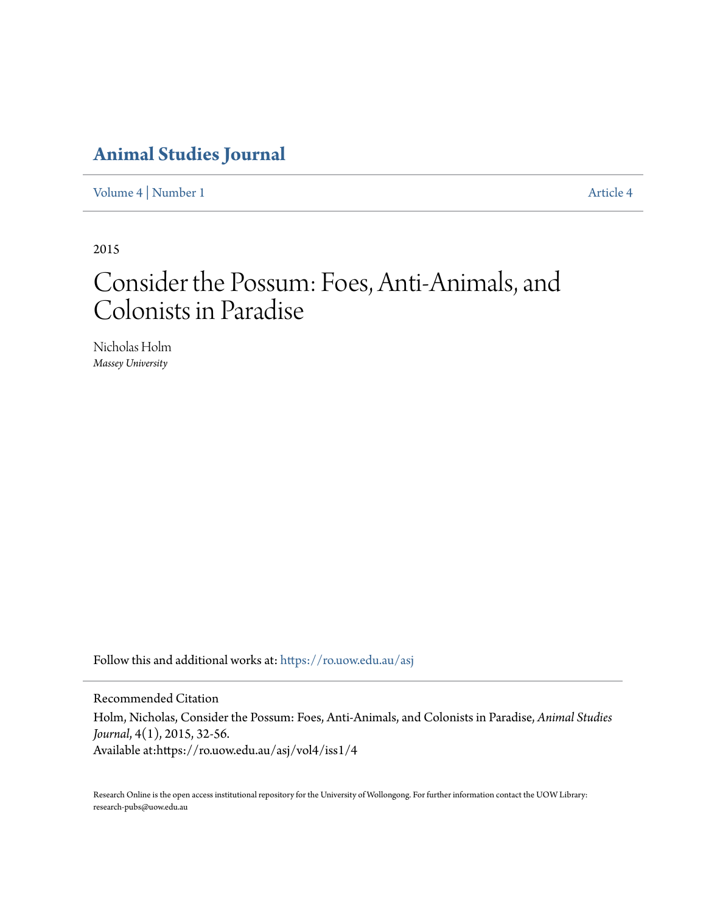# **[Animal Studies Journal](https://ro.uow.edu.au/asj?utm_source=ro.uow.edu.au%2Fasj%2Fvol4%2Fiss1%2F4&utm_medium=PDF&utm_campaign=PDFCoverPages)**

[Volume 4](https://ro.uow.edu.au/asj/vol4?utm_source=ro.uow.edu.au%2Fasj%2Fvol4%2Fiss1%2F4&utm_medium=PDF&utm_campaign=PDFCoverPages) | [Number 1](https://ro.uow.edu.au/asj/vol4/iss1?utm_source=ro.uow.edu.au%2Fasj%2Fvol4%2Fiss1%2F4&utm_medium=PDF&utm_campaign=PDFCoverPages) [Article 4](https://ro.uow.edu.au/asj/vol4/iss1/4?utm_source=ro.uow.edu.au%2Fasj%2Fvol4%2Fiss1%2F4&utm_medium=PDF&utm_campaign=PDFCoverPages)

2015

# Consider the Possum: Foes, Anti-Animals, and Colonists in Paradise

Nicholas Holm *Massey University*

Follow this and additional works at: [https://ro.uow.edu.au/asj](https://ro.uow.edu.au/asj?utm_source=ro.uow.edu.au%2Fasj%2Fvol4%2Fiss1%2F4&utm_medium=PDF&utm_campaign=PDFCoverPages)

Recommended Citation Holm, Nicholas, Consider the Possum: Foes, Anti-Animals, and Colonists in Paradise, *Animal Studies Journal*, 4(1), 2015, 32-56. Available at:https://ro.uow.edu.au/asj/vol4/iss1/4

Research Online is the open access institutional repository for the University of Wollongong. For further information contact the UOW Library: research-pubs@uow.edu.au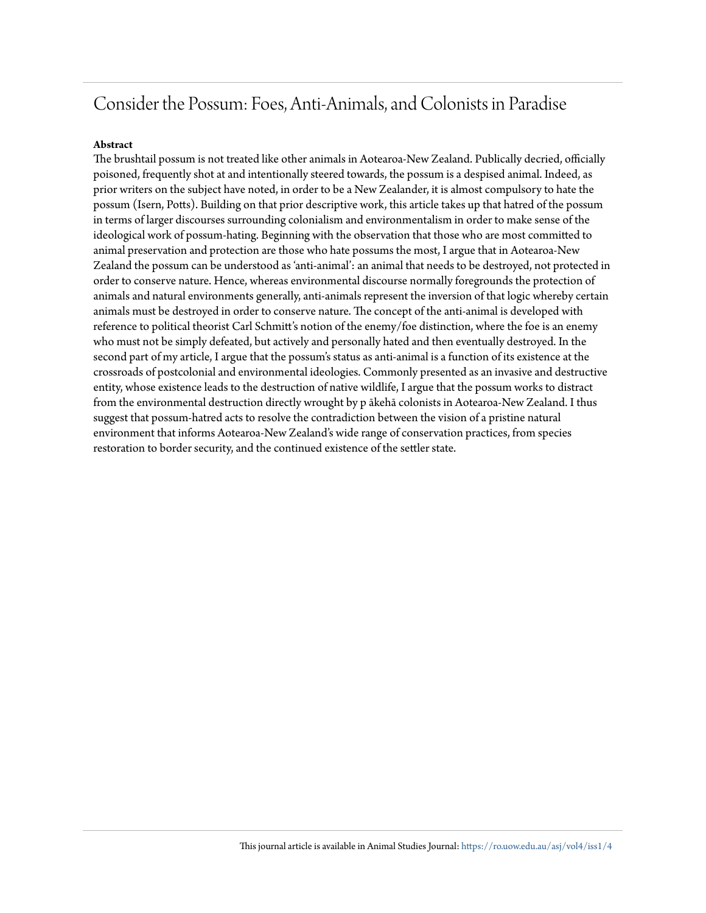# Consider the Possum: Foes, Anti-Animals, and Colonists in Paradise

### **Abstract**

The brushtail possum is not treated like other animals in Aotearoa-New Zealand. Publically decried, officially poisoned, frequently shot at and intentionally steered towards, the possum is a despised animal. Indeed, as prior writers on the subject have noted, in order to be a New Zealander, it is almost compulsory to hate the possum (Isern, Potts). Building on that prior descriptive work, this article takes up that hatred of the possum in terms of larger discourses surrounding colonialism and environmentalism in order to make sense of the ideological work of possum-hating. Beginning with the observation that those who are most committed to animal preservation and protection are those who hate possums the most, I argue that in Aotearoa-New Zealand the possum can be understood as 'anti-animal': an animal that needs to be destroyed, not protected in order to conserve nature. Hence, whereas environmental discourse normally foregrounds the protection of animals and natural environments generally, anti-animals represent the inversion of that logic whereby certain animals must be destroyed in order to conserve nature. The concept of the anti-animal is developed with reference to political theorist Carl Schmitt's notion of the enemy/foe distinction, where the foe is an enemy who must not be simply defeated, but actively and personally hated and then eventually destroyed. In the second part of my article, I argue that the possum's status as anti-animal is a function of its existence at the crossroads of postcolonial and environmental ideologies. Commonly presented as an invasive and destructive entity, whose existence leads to the destruction of native wildlife, I argue that the possum works to distract from the environmental destruction directly wrought by p ākehā colonists in Aotearoa-New Zealand. I thus suggest that possum-hatred acts to resolve the contradiction between the vision of a pristine natural environment that informs Aotearoa-New Zealand's wide range of conservation practices, from species restoration to border security, and the continued existence of the settler state.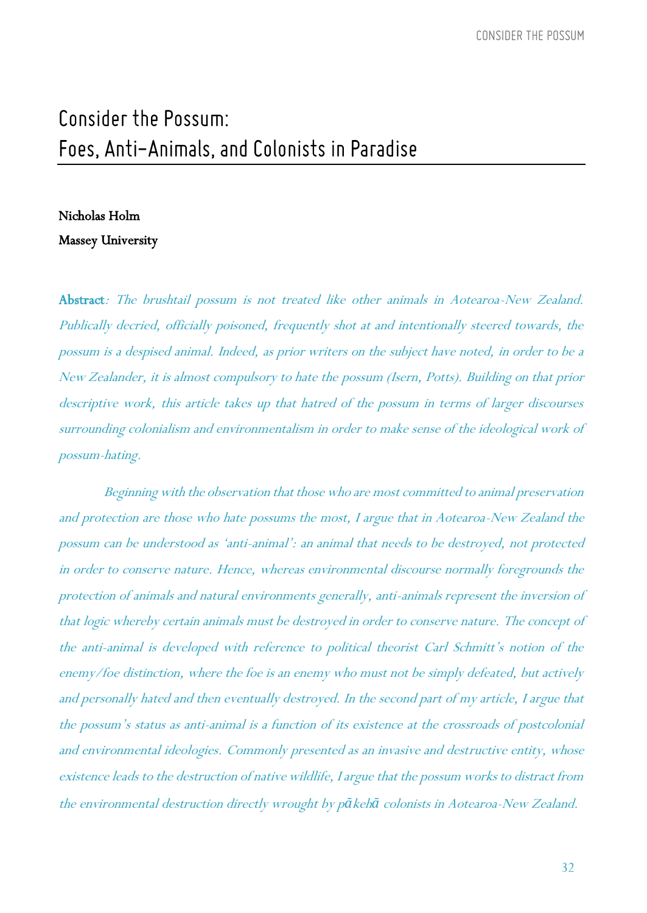# Consider the Possum: Foes, Anti-Animals, and Colonists in Paradise

## Nicholas Holm

### Massey University

Abstract: The brushtail possum is not treated like other animals in Aotearoa-New Zealand. Publically decried, officially poisoned, frequently shot at and intentionally steered towards, the possum is a despised animal. Indeed, as prior writers on the subject have noted, in order to be a New Zealander, it is almost compulsory to hate the possum (Isern, Potts). Building on that prior descriptive work, this article takes up that hatred of the possum in terms of larger discourses surrounding colonialism and environmentalism in order to make sense of the ideological work of possum-hating.

Beginning with the observation that those who are most committed to animal preservation and protection are those who hate possums the most, I argue that in Aotearoa-New Zealand the possum can be understood as 'anti-animal': an animal that needs to be destroyed, not protected in order to conserve nature. Hence, whereas environmental discourse normally foregrounds the protection of animals and natural environments generally, anti-animals represent the inversion of that logic whereby certain animals must be destroyed in order to conserve nature. The concept of the anti-animal is developed with reference to political theorist Carl Schmitt's notion of the enemy/foe distinction, where the foe is an enemy who must not be simply defeated, but actively and personally hated and then eventually destroyed. In the second part of my article, I argue that the possum's status as anti-animal is a function of its existence at the crossroads of postcolonial and environmental ideologies. Commonly presented as an invasive and destructive entity, whose existence leads to the destruction of native wildlife, I argue that the possum works to distract from the environmental destruction directly wrought by p*ā*keh*ā* colonists in Aotearoa-New Zealand.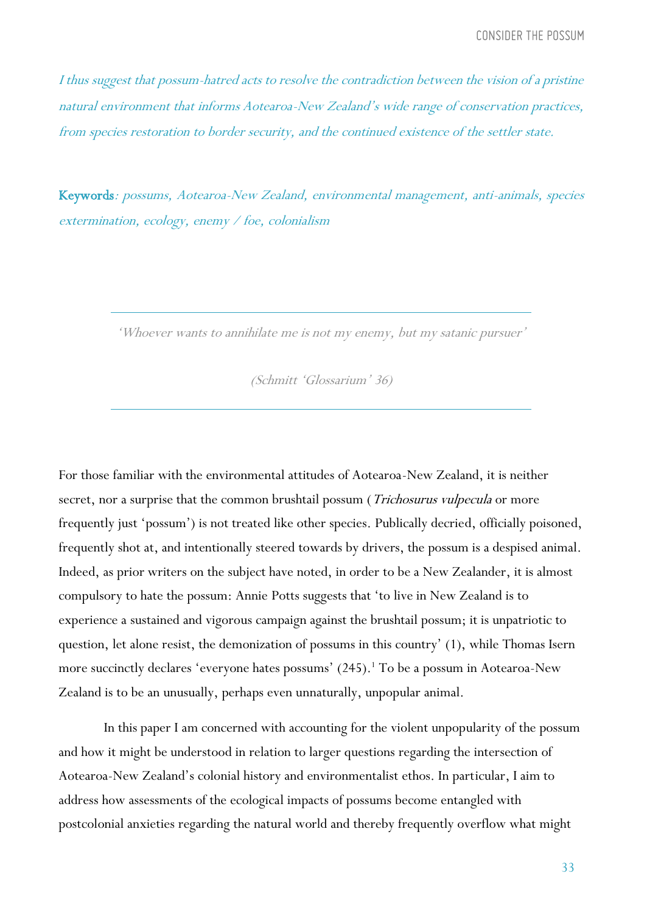I thus suggest that possum-hatred acts to resolve the contradiction between the vision of a pristine natural environment that informs Aotearoa-New Zealand's wide range of conservation practices, from species restoration to border security, and the continued existence of the settler state.

Keywords: possums, Aotearoa-New Zealand, environmental management, anti-animals, species extermination, ecology, enemy / foe, colonialism

'Whoever wants to annihilate me is not my enemy, but my satanic pursuer'

(Schmitt 'Glossarium' 36)

For those familiar with the environmental attitudes of Aotearoa-New Zealand, it is neither secret, nor a surprise that the common brushtail possum (*Trichosurus vulpecula* or more frequently just 'possum') is not treated like other species. Publically decried, officially poisoned, frequently shot at, and intentionally steered towards by drivers, the possum is a despised animal. Indeed, as prior writers on the subject have noted, in order to be a New Zealander, it is almost compulsory to hate the possum: Annie Potts suggests that 'to live in New Zealand is to experience a sustained and vigorous campaign against the brushtail possum; it is unpatriotic to question, let alone resist, the demonization of possums in this country' (1), while Thomas Isern more succinctly declares 'everyone hates possums' (245).<sup>1</sup> To be a possum in Aotearoa-New Zealand is to be an unusually, perhaps even unnaturally, unpopular animal.

In this paper I am concerned with accounting for the violent unpopularity of the possum and how it might be understood in relation to larger questions regarding the intersection of Aotearoa-New Zealand's colonial history and environmentalist ethos. In particular, I aim to address how assessments of the ecological impacts of possums become entangled with postcolonial anxieties regarding the natural world and thereby frequently overflow what might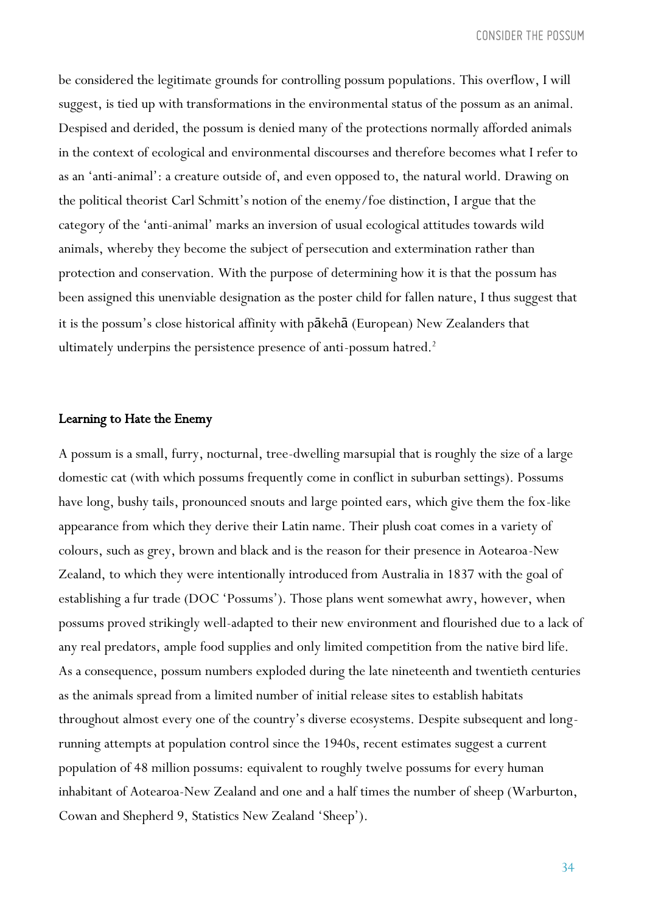be considered the legitimate grounds for controlling possum populations. This overflow, I will suggest, is tied up with transformations in the environmental status of the possum as an animal. Despised and derided, the possum is denied many of the protections normally afforded animals in the context of ecological and environmental discourses and therefore becomes what I refer to as an 'anti-animal': a creature outside of, and even opposed to, the natural world. Drawing on the political theorist Carl Schmitt's notion of the enemy/foe distinction, I argue that the category of the 'anti-animal' marks an inversion of usual ecological attitudes towards wild animals, whereby they become the subject of persecution and extermination rather than protection and conservation. With the purpose of determining how it is that the possum has been assigned this unenviable designation as the poster child for fallen nature, I thus suggest that it is the possum's close historical affinity with pākehā (European) New Zealanders that ultimately underpins the persistence presence of anti-possum hatred.<sup>2</sup>

#### Learning to Hate the Enemy

A possum is a small, furry, nocturnal, tree-dwelling marsupial that is roughly the size of a large domestic cat (with which possums frequently come in conflict in suburban settings). Possums have long, bushy tails, pronounced snouts and large pointed ears, which give them the fox-like appearance from which they derive their Latin name. Their plush coat comes in a variety of colours, such as grey, brown and black and is the reason for their presence in Aotearoa-New Zealand, to which they were intentionally introduced from Australia in 1837 with the goal of establishing a fur trade (DOC 'Possums'). Those plans went somewhat awry, however, when possums proved strikingly well-adapted to their new environment and flourished due to a lack of any real predators, ample food supplies and only limited competition from the native bird life. As a consequence, possum numbers exploded during the late nineteenth and twentieth centuries as the animals spread from a limited number of initial release sites to establish habitats throughout almost every one of the country's diverse ecosystems. Despite subsequent and longrunning attempts at population control since the 1940s, recent estimates suggest a current population of 48 million possums: equivalent to roughly twelve possums for every human inhabitant of Aotearoa-New Zealand and one and a half times the number of sheep (Warburton, Cowan and Shepherd 9, Statistics New Zealand 'Sheep').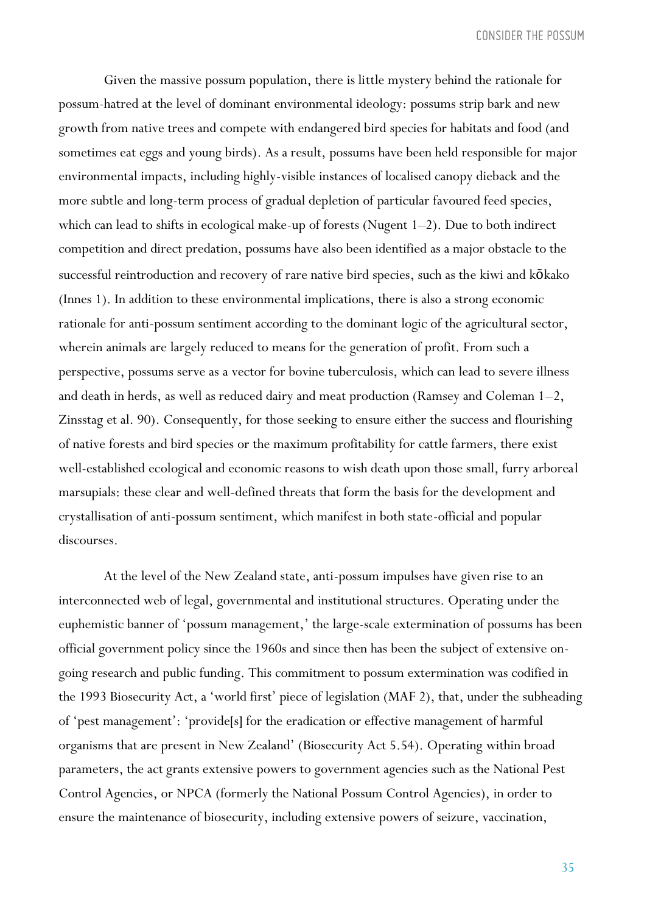Given the massive possum population, there is little mystery behind the rationale for possum-hatred at the level of dominant environmental ideology: possums strip bark and new growth from native trees and compete with endangered bird species for habitats and food (and sometimes eat eggs and young birds). As a result, possums have been held responsible for major environmental impacts, including highly-visible instances of localised canopy dieback and the more subtle and long-term process of gradual depletion of particular favoured feed species, which can lead to shifts in ecological make-up of forests (Nugent  $1-2$ ). Due to both indirect competition and direct predation, possums have also been identified as a major obstacle to the successful reintroduction and recovery of rare native bird species, such as the kiwi and kōkako (Innes 1). In addition to these environmental implications, there is also a strong economic rationale for anti-possum sentiment according to the dominant logic of the agricultural sector, wherein animals are largely reduced to means for the generation of profit. From such a perspective, possums serve as a vector for bovine tuberculosis, which can lead to severe illness and death in herds, as well as reduced dairy and meat production (Ramsey and Coleman 1–2, Zinsstag et al. 90). Consequently, for those seeking to ensure either the success and flourishing of native forests and bird species or the maximum profitability for cattle farmers, there exist well-established ecological and economic reasons to wish death upon those small, furry arboreal marsupials: these clear and well-defined threats that form the basis for the development and crystallisation of anti-possum sentiment, which manifest in both state-official and popular discourses.

At the level of the New Zealand state, anti-possum impulses have given rise to an interconnected web of legal, governmental and institutional structures. Operating under the euphemistic banner of 'possum management,' the large-scale extermination of possums has been official government policy since the 1960s and since then has been the subject of extensive ongoing research and public funding. This commitment to possum extermination was codified in the 1993 Biosecurity Act, a 'world first' piece of legislation (MAF 2), that, under the subheading of 'pest management': 'provide[s] for the eradication or effective management of harmful organisms that are present in New Zealand' (Biosecurity Act 5.54). Operating within broad parameters, the act grants extensive powers to government agencies such as the National Pest Control Agencies, or NPCA (formerly the National Possum Control Agencies), in order to ensure the maintenance of biosecurity, including extensive powers of seizure, vaccination,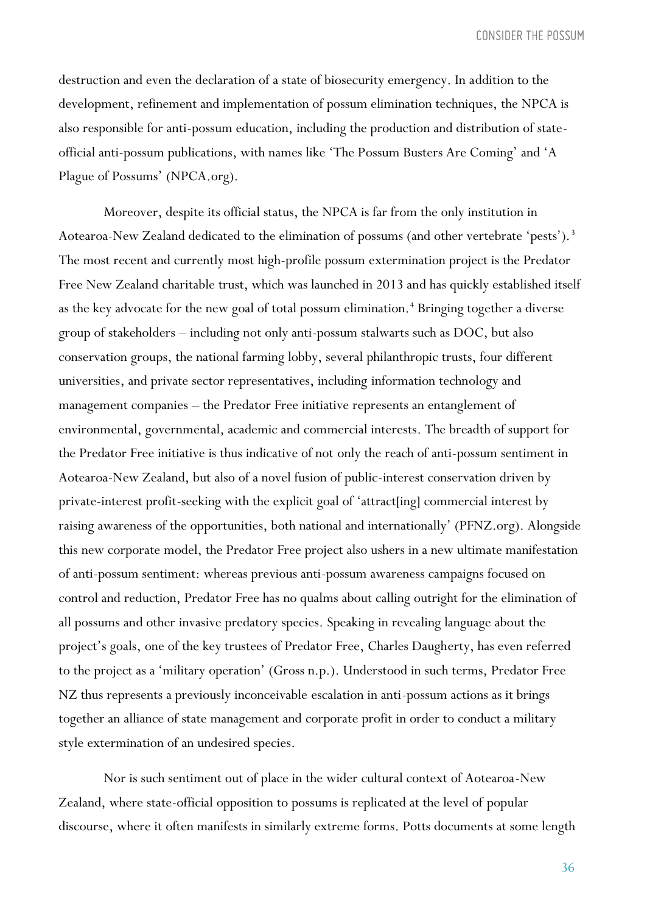destruction and even the declaration of a state of biosecurity emergency. In addition to the development, refinement and implementation of possum elimination techniques, the NPCA is also responsible for anti-possum education, including the production and distribution of stateofficial anti-possum publications, with names like 'The Possum Busters Are Coming' and 'A Plague of Possums' (NPCA.org).

Moreover, despite its official status, the NPCA is far from the only institution in Aotearoa-New Zealand dedicated to the elimination of possums (and other vertebrate 'pests').<sup>3</sup> The most recent and currently most high-profile possum extermination project is the Predator Free New Zealand charitable trust, which was launched in 2013 and has quickly established itself as the key advocate for the new goal of total possum elimination.<sup>4</sup> Bringing together a diverse group of stakeholders – including not only anti-possum stalwarts such as DOC, but also conservation groups, the national farming lobby, several philanthropic trusts, four different universities, and private sector representatives, including information technology and management companies – the Predator Free initiative represents an entanglement of environmental, governmental, academic and commercial interests. The breadth of support for the Predator Free initiative is thus indicative of not only the reach of anti-possum sentiment in Aotearoa-New Zealand, but also of a novel fusion of public-interest conservation driven by private-interest profit-seeking with the explicit goal of 'attract[ing] commercial interest by raising awareness of the opportunities, both national and internationally' (PFNZ.org). Alongside this new corporate model, the Predator Free project also ushers in a new ultimate manifestation of anti-possum sentiment: whereas previous anti-possum awareness campaigns focused on control and reduction, Predator Free has no qualms about calling outright for the elimination of all possums and other invasive predatory species. Speaking in revealing language about the project's goals, one of the key trustees of Predator Free, Charles Daugherty, has even referred to the project as a 'military operation' (Gross n.p.). Understood in such terms, Predator Free NZ thus represents a previously inconceivable escalation in anti-possum actions as it brings together an alliance of state management and corporate profit in order to conduct a military style extermination of an undesired species.

Nor is such sentiment out of place in the wider cultural context of Aotearoa-New Zealand, where state-official opposition to possums is replicated at the level of popular discourse, where it often manifests in similarly extreme forms. Potts documents at some length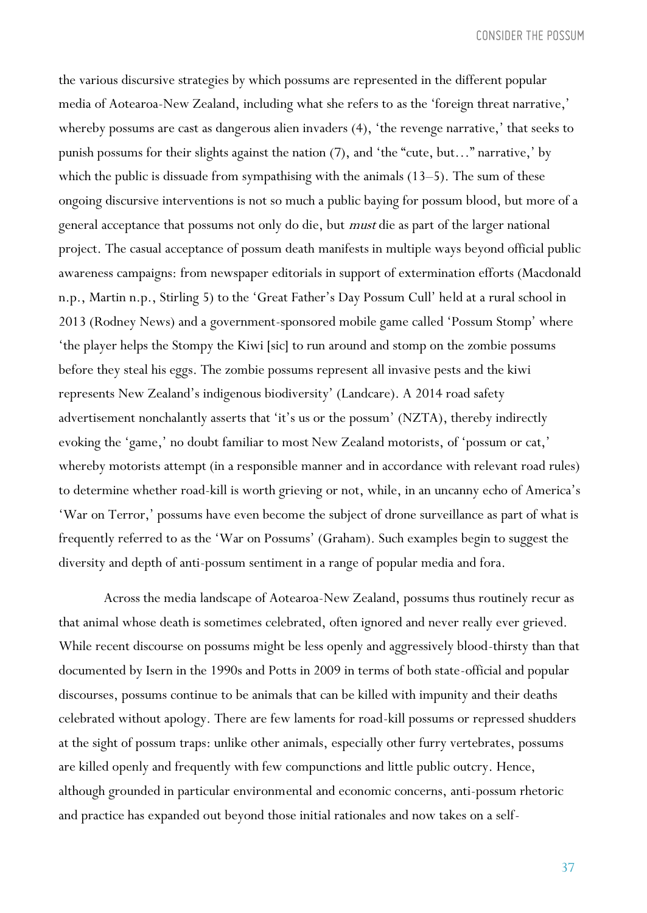the various discursive strategies by which possums are represented in the different popular media of Aotearoa-New Zealand, including what she refers to as the 'foreign threat narrative,' whereby possums are cast as dangerous alien invaders (4), 'the revenge narrative,' that seeks to punish possums for their slights against the nation (7), and 'the "cute, but…" narrative,' by which the public is dissuade from sympathising with the animals (13–5). The sum of these ongoing discursive interventions is not so much a public baying for possum blood, but more of a general acceptance that possums not only do die, but must die as part of the larger national project. The casual acceptance of possum death manifests in multiple ways beyond official public awareness campaigns: from newspaper editorials in support of extermination efforts (Macdonald n.p., Martin n.p., Stirling 5) to the 'Great Father's Day Possum Cull' held at a rural school in 2013 (Rodney News) and a government-sponsored mobile game called 'Possum Stomp' where 'the player helps the Stompy the Kiwi [sic] to run around and stomp on the zombie possums before they steal his eggs. The zombie possums represent all invasive pests and the kiwi represents New Zealand's indigenous biodiversity' (Landcare). A 2014 road safety advertisement nonchalantly asserts that 'it's us or the possum' (NZTA), thereby indirectly evoking the 'game,' no doubt familiar to most New Zealand motorists, of 'possum or cat,' whereby motorists attempt (in a responsible manner and in accordance with relevant road rules) to determine whether road-kill is worth grieving or not, while, in an uncanny echo of America's 'War on Terror,' possums have even become the subject of drone surveillance as part of what is frequently referred to as the 'War on Possums' (Graham). Such examples begin to suggest the diversity and depth of anti-possum sentiment in a range of popular media and fora.

Across the media landscape of Aotearoa-New Zealand, possums thus routinely recur as that animal whose death is sometimes celebrated, often ignored and never really ever grieved. While recent discourse on possums might be less openly and aggressively blood-thirsty than that documented by Isern in the 1990s and Potts in 2009 in terms of both state-official and popular discourses, possums continue to be animals that can be killed with impunity and their deaths celebrated without apology. There are few laments for road-kill possums or repressed shudders at the sight of possum traps: unlike other animals, especially other furry vertebrates, possums are killed openly and frequently with few compunctions and little public outcry. Hence, although grounded in particular environmental and economic concerns, anti-possum rhetoric and practice has expanded out beyond those initial rationales and now takes on a self-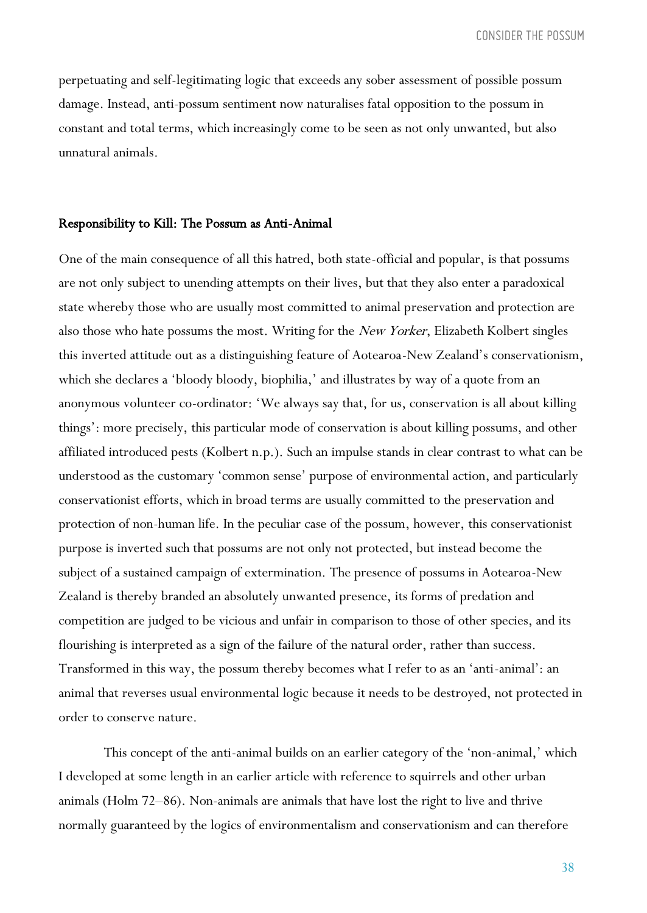perpetuating and self-legitimating logic that exceeds any sober assessment of possible possum damage. Instead, anti-possum sentiment now naturalises fatal opposition to the possum in constant and total terms, which increasingly come to be seen as not only unwanted, but also unnatural animals.

#### Responsibility to Kill: The Possum as Anti-Animal

One of the main consequence of all this hatred, both state-official and popular, is that possums are not only subject to unending attempts on their lives, but that they also enter a paradoxical state whereby those who are usually most committed to animal preservation and protection are also those who hate possums the most. Writing for the *New Yorker*, Elizabeth Kolbert singles this inverted attitude out as a distinguishing feature of Aotearoa-New Zealand's conservationism, which she declares a 'bloody bloody, biophilia,' and illustrates by way of a quote from an anonymous volunteer co-ordinator: 'We always say that, for us, conservation is all about killing things': more precisely, this particular mode of conservation is about killing possums, and other affiliated introduced pests (Kolbert n.p.). Such an impulse stands in clear contrast to what can be understood as the customary 'common sense' purpose of environmental action, and particularly conservationist efforts, which in broad terms are usually committed to the preservation and protection of non-human life. In the peculiar case of the possum, however, this conservationist purpose is inverted such that possums are not only not protected, but instead become the subject of a sustained campaign of extermination. The presence of possums in Aotearoa-New Zealand is thereby branded an absolutely unwanted presence, its forms of predation and competition are judged to be vicious and unfair in comparison to those of other species, and its flourishing is interpreted as a sign of the failure of the natural order, rather than success. Transformed in this way, the possum thereby becomes what I refer to as an 'anti-animal': an animal that reverses usual environmental logic because it needs to be destroyed, not protected in order to conserve nature.

This concept of the anti-animal builds on an earlier category of the 'non-animal,' which I developed at some length in an earlier article with reference to squirrels and other urban animals (Holm 72–86). Non-animals are animals that have lost the right to live and thrive normally guaranteed by the logics of environmentalism and conservationism and can therefore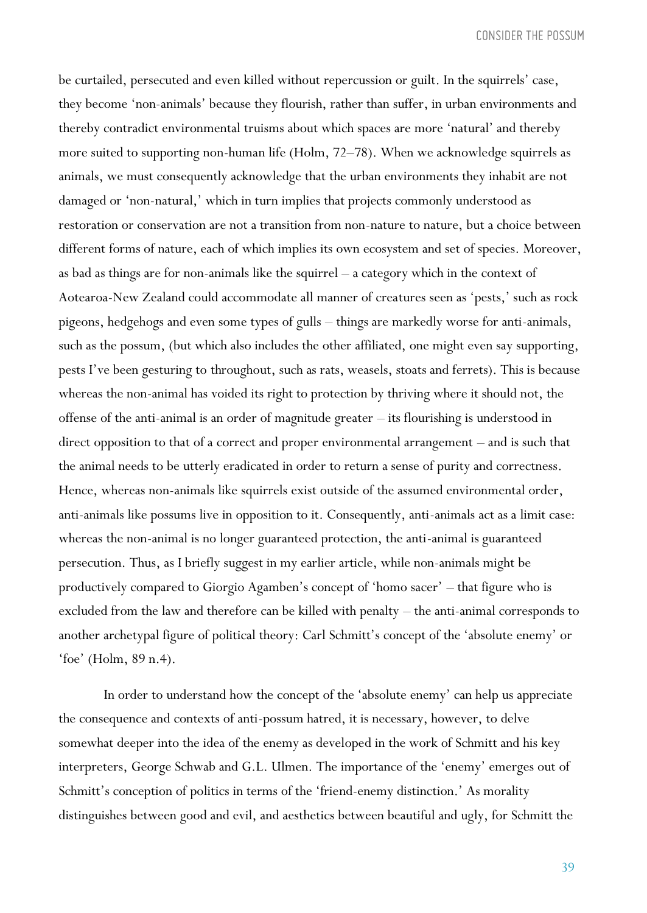be curtailed, persecuted and even killed without repercussion or guilt. In the squirrels' case, they become 'non-animals' because they flourish, rather than suffer, in urban environments and thereby contradict environmental truisms about which spaces are more 'natural' and thereby more suited to supporting non-human life (Holm, 72–78). When we acknowledge squirrels as animals, we must consequently acknowledge that the urban environments they inhabit are not damaged or 'non-natural,' which in turn implies that projects commonly understood as restoration or conservation are not a transition from non-nature to nature, but a choice between different forms of nature, each of which implies its own ecosystem and set of species. Moreover, as bad as things are for non-animals like the squirrel – a category which in the context of Aotearoa-New Zealand could accommodate all manner of creatures seen as 'pests,' such as rock pigeons, hedgehogs and even some types of gulls – things are markedly worse for anti-animals, such as the possum, (but which also includes the other affiliated, one might even say supporting, pests I've been gesturing to throughout, such as rats, weasels, stoats and ferrets). This is because whereas the non-animal has voided its right to protection by thriving where it should not, the offense of the anti-animal is an order of magnitude greater – its flourishing is understood in direct opposition to that of a correct and proper environmental arrangement – and is such that the animal needs to be utterly eradicated in order to return a sense of purity and correctness. Hence, whereas non-animals like squirrels exist outside of the assumed environmental order, anti-animals like possums live in opposition to it. Consequently, anti-animals act as a limit case: whereas the non-animal is no longer guaranteed protection, the anti-animal is guaranteed persecution. Thus, as I briefly suggest in my earlier article, while non-animals might be productively compared to Giorgio Agamben's concept of 'homo sacer' – that figure who is excluded from the law and therefore can be killed with penalty – the anti-animal corresponds to another archetypal figure of political theory: Carl Schmitt's concept of the 'absolute enemy' or 'foe' (Holm, 89 n.4).

In order to understand how the concept of the 'absolute enemy' can help us appreciate the consequence and contexts of anti-possum hatred, it is necessary, however, to delve somewhat deeper into the idea of the enemy as developed in the work of Schmitt and his key interpreters, George Schwab and G.L. Ulmen. The importance of the 'enemy' emerges out of Schmitt's conception of politics in terms of the 'friend-enemy distinction.' As morality distinguishes between good and evil, and aesthetics between beautiful and ugly, for Schmitt the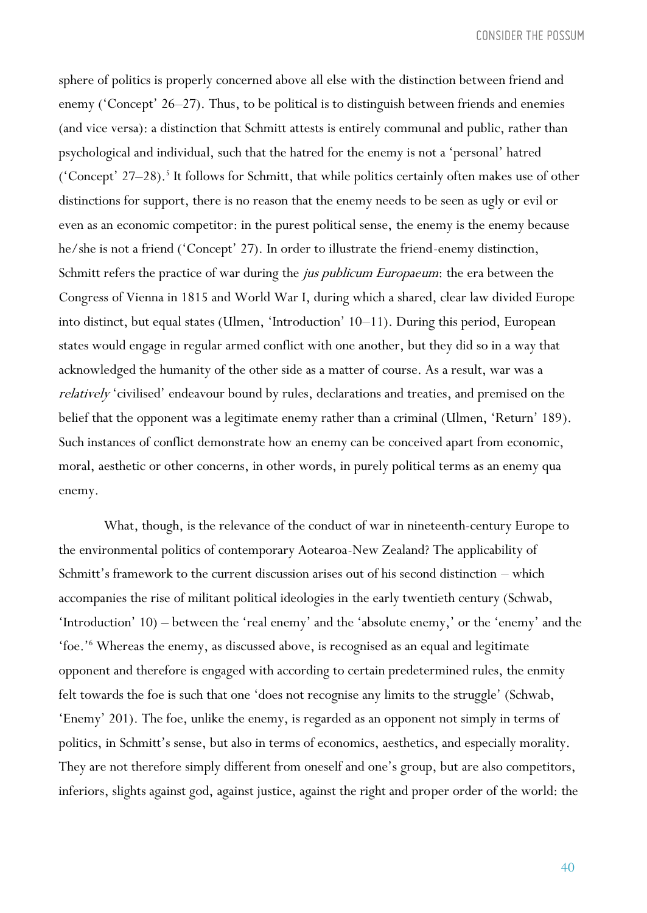sphere of politics is properly concerned above all else with the distinction between friend and enemy ('Concept' 26–27). Thus, to be political is to distinguish between friends and enemies (and vice versa): a distinction that Schmitt attests is entirely communal and public, rather than psychological and individual, such that the hatred for the enemy is not a 'personal' hatred ('Concept' 27-28).<sup>5</sup> It follows for Schmitt, that while politics certainly often makes use of other distinctions for support, there is no reason that the enemy needs to be seen as ugly or evil or even as an economic competitor: in the purest political sense, the enemy is the enemy because he/she is not a friend ('Concept' 27). In order to illustrate the friend-enemy distinction, Schmitt refers the practice of war during the jus publicum Europaeum: the era between the Congress of Vienna in 1815 and World War I, during which a shared, clear law divided Europe into distinct, but equal states (Ulmen, 'Introduction' 10–11). During this period, European states would engage in regular armed conflict with one another, but they did so in a way that acknowledged the humanity of the other side as a matter of course. As a result, war was a relatively 'civilised' endeavour bound by rules, declarations and treaties, and premised on the belief that the opponent was a legitimate enemy rather than a criminal (Ulmen, 'Return' 189). Such instances of conflict demonstrate how an enemy can be conceived apart from economic, moral, aesthetic or other concerns, in other words, in purely political terms as an enemy qua enemy.

What, though, is the relevance of the conduct of war in nineteenth-century Europe to the environmental politics of contemporary Aotearoa-New Zealand? The applicability of Schmitt's framework to the current discussion arises out of his second distinction – which accompanies the rise of militant political ideologies in the early twentieth century (Schwab, 'Introduction' 10) – between the 'real enemy' and the 'absolute enemy,' or the 'enemy' and the 'foe.'<sup>6</sup> Whereas the enemy, as discussed above, is recognised as an equal and legitimate opponent and therefore is engaged with according to certain predetermined rules, the enmity felt towards the foe is such that one 'does not recognise any limits to the struggle' (Schwab, 'Enemy' 201). The foe, unlike the enemy, is regarded as an opponent not simply in terms of politics, in Schmitt's sense, but also in terms of economics, aesthetics, and especially morality. They are not therefore simply different from oneself and one's group, but are also competitors, inferiors, slights against god, against justice, against the right and proper order of the world: the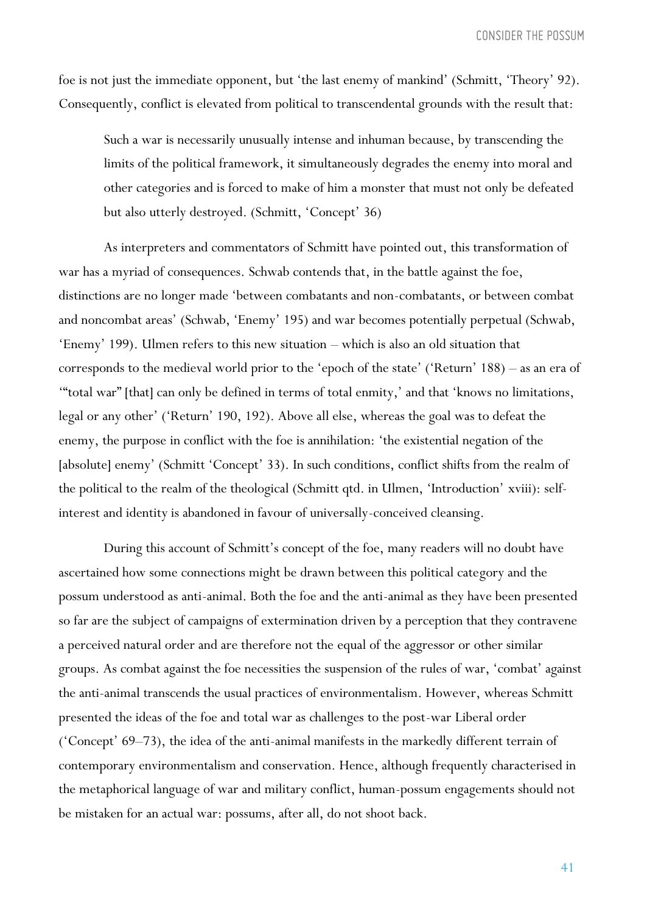foe is not just the immediate opponent, but 'the last enemy of mankind' (Schmitt, 'Theory' 92). Consequently, conflict is elevated from political to transcendental grounds with the result that:

Such a war is necessarily unusually intense and inhuman because, by transcending the limits of the political framework, it simultaneously degrades the enemy into moral and other categories and is forced to make of him a monster that must not only be defeated but also utterly destroyed. (Schmitt, 'Concept' 36)

As interpreters and commentators of Schmitt have pointed out, this transformation of war has a myriad of consequences. Schwab contends that, in the battle against the foe, distinctions are no longer made 'between combatants and non-combatants, or between combat and noncombat areas' (Schwab, 'Enemy' 195) and war becomes potentially perpetual (Schwab, 'Enemy' 199). Ulmen refers to this new situation – which is also an old situation that corresponds to the medieval world prior to the 'epoch of the state' ('Return' 188) – as an era of '"total war" [that] can only be defined in terms of total enmity,' and that 'knows no limitations, legal or any other' ('Return' 190, 192). Above all else, whereas the goal was to defeat the enemy, the purpose in conflict with the foe is annihilation: 'the existential negation of the [absolute] enemy' (Schmitt 'Concept' 33). In such conditions, conflict shifts from the realm of the political to the realm of the theological (Schmitt qtd. in Ulmen, 'Introduction' xviii): selfinterest and identity is abandoned in favour of universally-conceived cleansing.

During this account of Schmitt's concept of the foe, many readers will no doubt have ascertained how some connections might be drawn between this political category and the possum understood as anti-animal. Both the foe and the anti-animal as they have been presented so far are the subject of campaigns of extermination driven by a perception that they contravene a perceived natural order and are therefore not the equal of the aggressor or other similar groups. As combat against the foe necessities the suspension of the rules of war, 'combat' against the anti-animal transcends the usual practices of environmentalism. However, whereas Schmitt presented the ideas of the foe and total war as challenges to the post-war Liberal order ('Concept' 69–73), the idea of the anti-animal manifests in the markedly different terrain of contemporary environmentalism and conservation. Hence, although frequently characterised in the metaphorical language of war and military conflict, human-possum engagements should not be mistaken for an actual war: possums, after all, do not shoot back.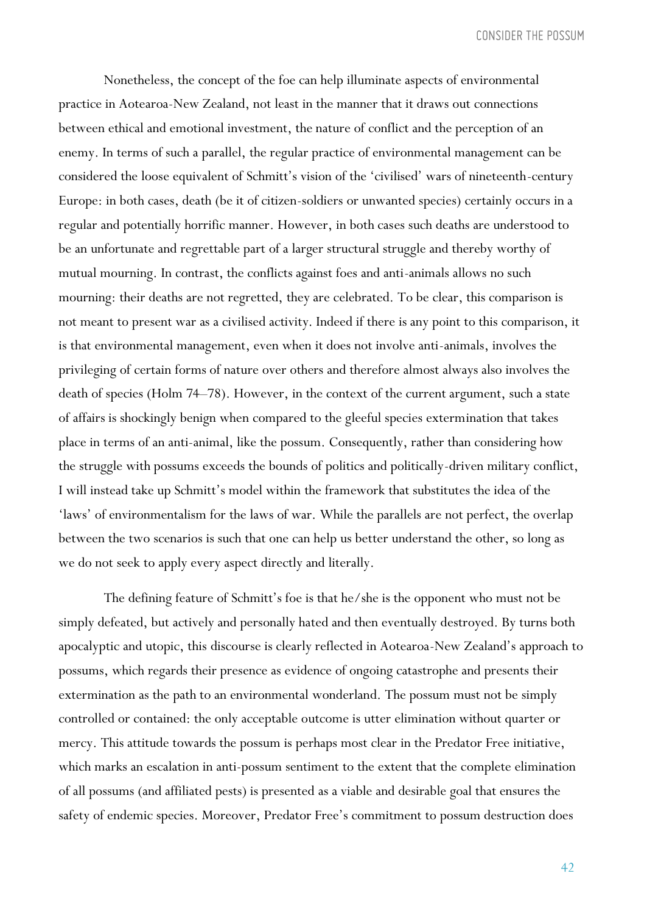Nonetheless, the concept of the foe can help illuminate aspects of environmental practice in Aotearoa-New Zealand, not least in the manner that it draws out connections between ethical and emotional investment, the nature of conflict and the perception of an enemy. In terms of such a parallel, the regular practice of environmental management can be considered the loose equivalent of Schmitt's vision of the 'civilised' wars of nineteenth-century Europe: in both cases, death (be it of citizen-soldiers or unwanted species) certainly occurs in a regular and potentially horrific manner. However, in both cases such deaths are understood to be an unfortunate and regrettable part of a larger structural struggle and thereby worthy of mutual mourning. In contrast, the conflicts against foes and anti-animals allows no such mourning: their deaths are not regretted, they are celebrated. To be clear, this comparison is not meant to present war as a civilised activity. Indeed if there is any point to this comparison, it is that environmental management, even when it does not involve anti-animals, involves the privileging of certain forms of nature over others and therefore almost always also involves the death of species (Holm 74–78). However, in the context of the current argument, such a state of affairs is shockingly benign when compared to the gleeful species extermination that takes place in terms of an anti-animal, like the possum. Consequently, rather than considering how the struggle with possums exceeds the bounds of politics and politically-driven military conflict, I will instead take up Schmitt's model within the framework that substitutes the idea of the 'laws' of environmentalism for the laws of war. While the parallels are not perfect, the overlap between the two scenarios is such that one can help us better understand the other, so long as we do not seek to apply every aspect directly and literally.

The defining feature of Schmitt's foe is that he/she is the opponent who must not be simply defeated, but actively and personally hated and then eventually destroyed. By turns both apocalyptic and utopic, this discourse is clearly reflected in Aotearoa-New Zealand's approach to possums, which regards their presence as evidence of ongoing catastrophe and presents their extermination as the path to an environmental wonderland. The possum must not be simply controlled or contained: the only acceptable outcome is utter elimination without quarter or mercy. This attitude towards the possum is perhaps most clear in the Predator Free initiative, which marks an escalation in anti-possum sentiment to the extent that the complete elimination of all possums (and affiliated pests) is presented as a viable and desirable goal that ensures the safety of endemic species. Moreover, Predator Free's commitment to possum destruction does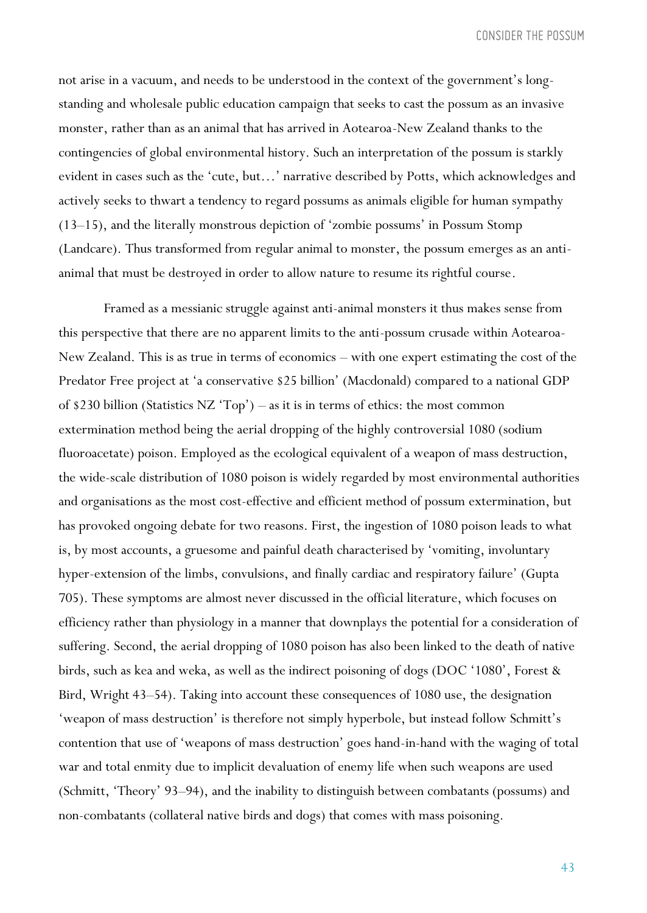not arise in a vacuum, and needs to be understood in the context of the government's longstanding and wholesale public education campaign that seeks to cast the possum as an invasive monster, rather than as an animal that has arrived in Aotearoa-New Zealand thanks to the contingencies of global environmental history. Such an interpretation of the possum is starkly evident in cases such as the 'cute, but…' narrative described by Potts, which acknowledges and actively seeks to thwart a tendency to regard possums as animals eligible for human sympathy (13–15), and the literally monstrous depiction of 'zombie possums' in Possum Stomp (Landcare). Thus transformed from regular animal to monster, the possum emerges as an antianimal that must be destroyed in order to allow nature to resume its rightful course.

Framed as a messianic struggle against anti-animal monsters it thus makes sense from this perspective that there are no apparent limits to the anti-possum crusade within Aotearoa-New Zealand. This is as true in terms of economics – with one expert estimating the cost of the Predator Free project at 'a conservative \$25 billion' (Macdonald) compared to a national GDP of \$230 billion (Statistics NZ 'Top') – as it is in terms of ethics: the most common extermination method being the aerial dropping of the highly controversial 1080 (sodium fluoroacetate) poison. Employed as the ecological equivalent of a weapon of mass destruction, the wide-scale distribution of 1080 poison is widely regarded by most environmental authorities and organisations as the most cost-effective and efficient method of possum extermination, but has provoked ongoing debate for two reasons. First, the ingestion of 1080 poison leads to what is, by most accounts, a gruesome and painful death characterised by 'vomiting, involuntary hyper-extension of the limbs, convulsions, and finally cardiac and respiratory failure' (Gupta 705). These symptoms are almost never discussed in the official literature, which focuses on efficiency rather than physiology in a manner that downplays the potential for a consideration of suffering. Second, the aerial dropping of 1080 poison has also been linked to the death of native birds, such as kea and weka, as well as the indirect poisoning of dogs (DOC '1080', Forest & Bird, Wright 43–54). Taking into account these consequences of 1080 use, the designation 'weapon of mass destruction' is therefore not simply hyperbole, but instead follow Schmitt's contention that use of 'weapons of mass destruction' goes hand-in-hand with the waging of total war and total enmity due to implicit devaluation of enemy life when such weapons are used (Schmitt, 'Theory' 93–94), and the inability to distinguish between combatants (possums) and non-combatants (collateral native birds and dogs) that comes with mass poisoning.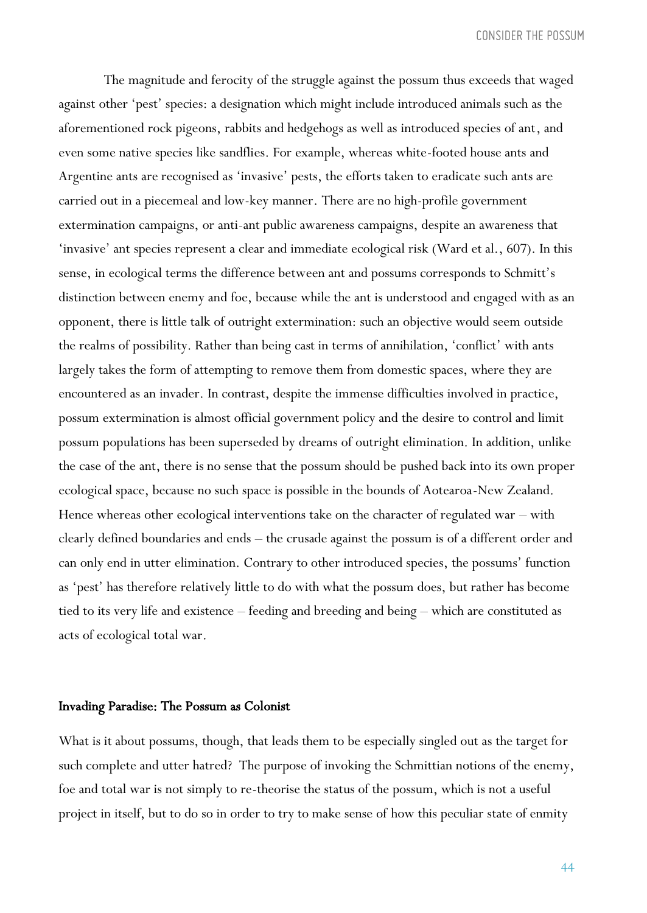The magnitude and ferocity of the struggle against the possum thus exceeds that waged against other 'pest' species: a designation which might include introduced animals such as the aforementioned rock pigeons, rabbits and hedgehogs as well as introduced species of ant, and even some native species like sandflies. For example, whereas white-footed house ants and Argentine ants are recognised as 'invasive' pests, the efforts taken to eradicate such ants are carried out in a piecemeal and low-key manner. There are no high-profile government extermination campaigns, or anti-ant public awareness campaigns, despite an awareness that 'invasive' ant species represent a clear and immediate ecological risk (Ward et al., 607). In this sense, in ecological terms the difference between ant and possums corresponds to Schmitt's distinction between enemy and foe, because while the ant is understood and engaged with as an opponent, there is little talk of outright extermination: such an objective would seem outside the realms of possibility. Rather than being cast in terms of annihilation, 'conflict' with ants largely takes the form of attempting to remove them from domestic spaces, where they are encountered as an invader. In contrast, despite the immense difficulties involved in practice, possum extermination is almost official government policy and the desire to control and limit possum populations has been superseded by dreams of outright elimination. In addition, unlike the case of the ant, there is no sense that the possum should be pushed back into its own proper ecological space, because no such space is possible in the bounds of Aotearoa-New Zealand. Hence whereas other ecological interventions take on the character of regulated war – with clearly defined boundaries and ends – the crusade against the possum is of a different order and can only end in utter elimination. Contrary to other introduced species, the possums' function as 'pest' has therefore relatively little to do with what the possum does, but rather has become tied to its very life and existence – feeding and breeding and being – which are constituted as acts of ecological total war.

#### Invading Paradise: The Possum as Colonist

What is it about possums, though, that leads them to be especially singled out as the target for such complete and utter hatred? The purpose of invoking the Schmittian notions of the enemy, foe and total war is not simply to re-theorise the status of the possum, which is not a useful project in itself, but to do so in order to try to make sense of how this peculiar state of enmity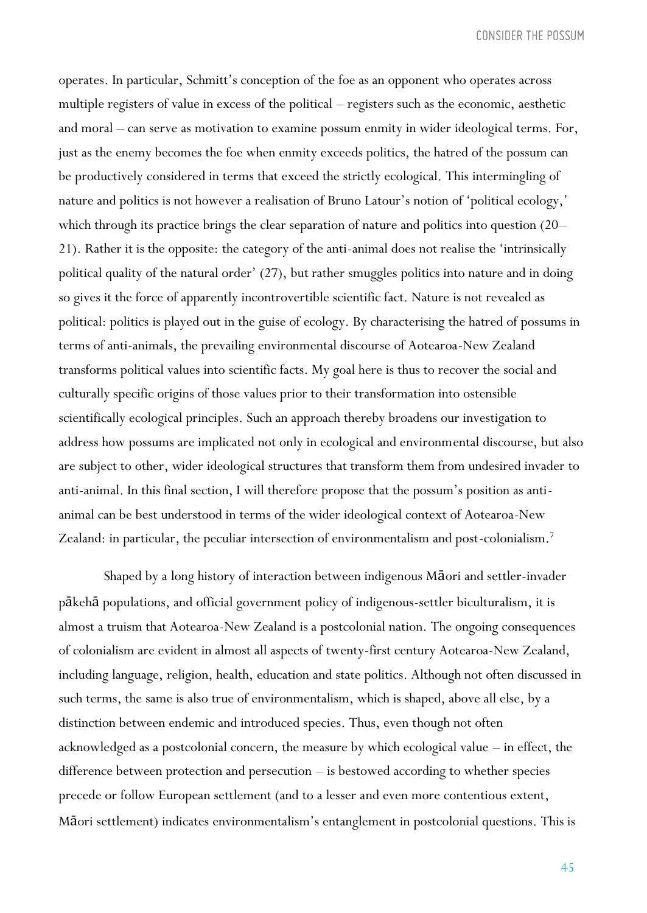operates. In particular, Schmitt's conception of the foe as an opponent who operates across multiple registers of value in excess of the political – registers such as the economic, aesthetic and moral – can serve as motivation to examine possum enmity in wider ideological terms. For, just as the enemy becomes the foe when enmity exceeds politics, the hatred of the possum can be productively considered in terms that exceed the strictly ecological. This intermingling of nature and politics is not however a realisation of Bruno Latour's notion of 'political ecology,' which through its practice brings the clear separation of nature and politics into question (20– 21). Rather it is the opposite: the category of the anti-animal does not realise the 'intrinsically political quality of the natural order' (27), but rather smuggles politics into nature and in doing so gives it the force of apparently incontrovertible scientific fact. Nature is not revealed as political: politics is played out in the guise of ecology. By characterising the hatred of possums in terms of anti-animals, the prevailing environmental discourse of Aotearoa-New Zealand transforms political values into scientific facts. My goal here is thus to recover the social and culturally specific origins of those values prior to their transformation into ostensible scientifically ecological principles. Such an approach thereby broadens our investigation to address how possums are implicated not only in ecological and environmental discourse, but also are subject to other, wider ideological structures that transform them from undesired invader to anti-animal. In this final section, I will therefore propose that the possum's position as antianimal can be best understood in terms of the wider ideological context of Aotearoa-New Zealand: in particular, the peculiar intersection of environmentalism and post-colonialism.<sup>7</sup>

Shaped by a long history of interaction between indigenous Māori and settler-invader pākehā populations, and official government policy of indigenous-settler biculturalism, it is almost a truism that Aotearoa-New Zealand is a postcolonial nation. The ongoing consequences of colonialism are evident in almost all aspects of twenty-first century Aotearoa-New Zealand, including language, religion, health, education and state politics. Although not often discussed in such terms, the same is also true of environmentalism, which is shaped, above all else, by a distinction between endemic and introduced species. Thus, even though not often acknowledged as a postcolonial concern, the measure by which ecological value – in effect, the difference between protection and persecution – is bestowed according to whether species precede or follow European settlement (and to a lesser and even more contentious extent, Māori settlement) indicates environmentalism's entanglement in postcolonial questions. This is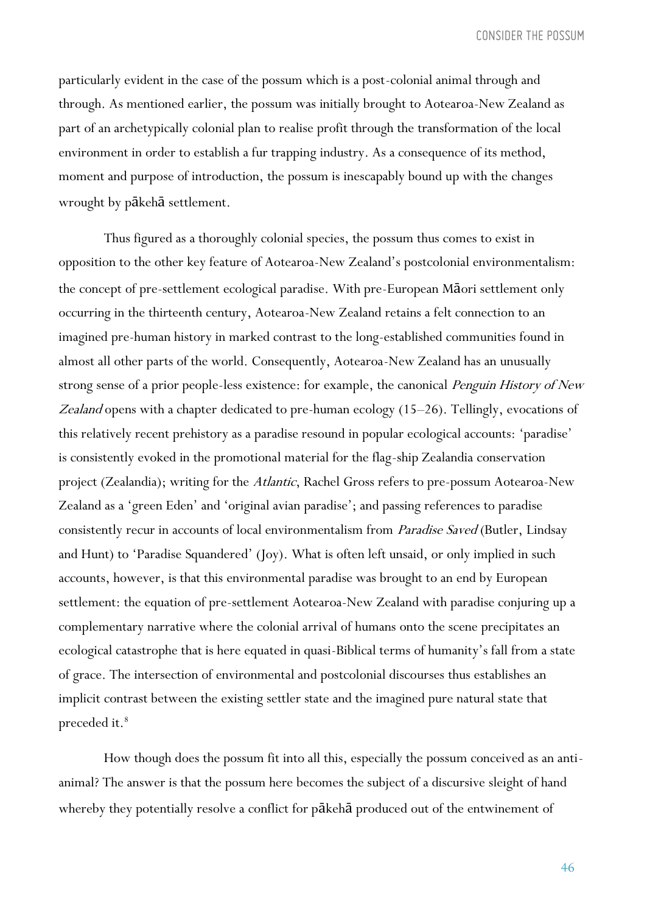particularly evident in the case of the possum which is a post-colonial animal through and through. As mentioned earlier, the possum was initially brought to Aotearoa-New Zealand as part of an archetypically colonial plan to realise profit through the transformation of the local environment in order to establish a fur trapping industry. As a consequence of its method, moment and purpose of introduction, the possum is inescapably bound up with the changes wrought by pākehā settlement.

Thus figured as a thoroughly colonial species, the possum thus comes to exist in opposition to the other key feature of Aotearoa-New Zealand's postcolonial environmentalism: the concept of pre-settlement ecological paradise. With pre-European Māori settlement only occurring in the thirteenth century, Aotearoa-New Zealand retains a felt connection to an imagined pre-human history in marked contrast to the long-established communities found in almost all other parts of the world. Consequently, Aotearoa-New Zealand has an unusually strong sense of a prior people-less existence: for example, the canonical *Penguin History of New* Zealand opens with a chapter dedicated to pre-human ecology (15–26). Tellingly, evocations of this relatively recent prehistory as a paradise resound in popular ecological accounts: 'paradise' is consistently evoked in the promotional material for the flag-ship Zealandia conservation project (Zealandia); writing for the Atlantic, Rachel Gross refers to pre-possum Aotearoa-New Zealand as a 'green Eden' and 'original avian paradise'; and passing references to paradise consistently recur in accounts of local environmentalism from Paradise Saved (Butler, Lindsay and Hunt) to 'Paradise Squandered' (Joy). What is often left unsaid, or only implied in such accounts, however, is that this environmental paradise was brought to an end by European settlement: the equation of pre-settlement Aotearoa-New Zealand with paradise conjuring up a complementary narrative where the colonial arrival of humans onto the scene precipitates an ecological catastrophe that is here equated in quasi-Biblical terms of humanity's fall from a state of grace. The intersection of environmental and postcolonial discourses thus establishes an implicit contrast between the existing settler state and the imagined pure natural state that preceded it.<sup>8</sup>

How though does the possum fit into all this, especially the possum conceived as an antianimal? The answer is that the possum here becomes the subject of a discursive sleight of hand whereby they potentially resolve a conflict for pākehā produced out of the entwinement of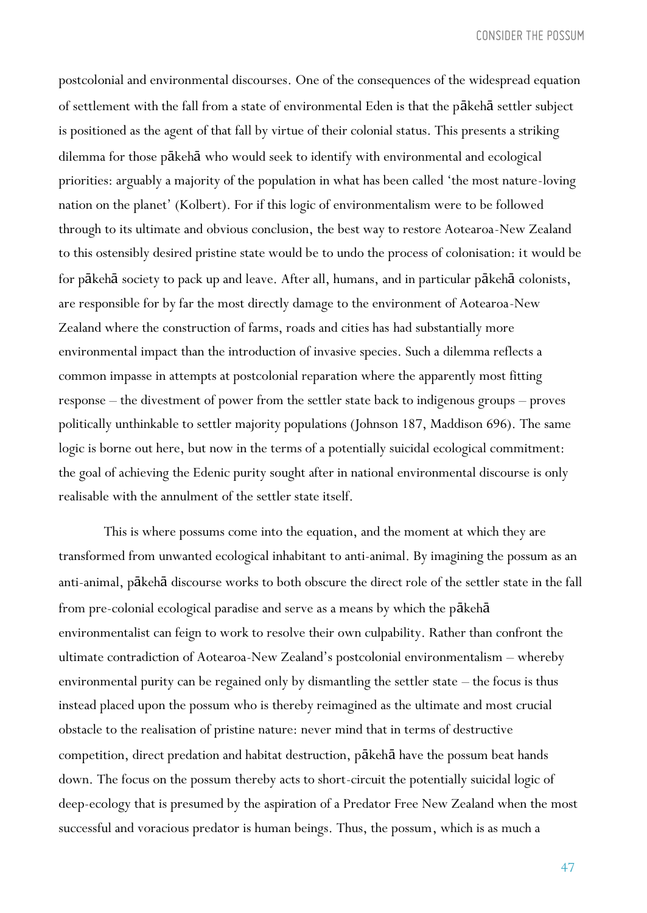postcolonial and environmental discourses. One of the consequences of the widespread equation of settlement with the fall from a state of environmental Eden is that the pākehā settler subject is positioned as the agent of that fall by virtue of their colonial status. This presents a striking dilemma for those pākehā who would seek to identify with environmental and ecological priorities: arguably a majority of the population in what has been called 'the most nature-loving nation on the planet' (Kolbert). For if this logic of environmentalism were to be followed through to its ultimate and obvious conclusion, the best way to restore Aotearoa-New Zealand to this ostensibly desired pristine state would be to undo the process of colonisation: it would be for pākehā society to pack up and leave. After all, humans, and in particular pākehā colonists, are responsible for by far the most directly damage to the environment of Aotearoa-New Zealand where the construction of farms, roads and cities has had substantially more environmental impact than the introduction of invasive species. Such a dilemma reflects a common impasse in attempts at postcolonial reparation where the apparently most fitting response – the divestment of power from the settler state back to indigenous groups – proves politically unthinkable to settler majority populations (Johnson 187, Maddison 696). The same logic is borne out here, but now in the terms of a potentially suicidal ecological commitment: the goal of achieving the Edenic purity sought after in national environmental discourse is only realisable with the annulment of the settler state itself.

This is where possums come into the equation, and the moment at which they are transformed from unwanted ecological inhabitant to anti-animal. By imagining the possum as an anti-animal, pākehā discourse works to both obscure the direct role of the settler state in the fall from pre-colonial ecological paradise and serve as a means by which the pākehā environmentalist can feign to work to resolve their own culpability. Rather than confront the ultimate contradiction of Aotearoa-New Zealand's postcolonial environmentalism – whereby environmental purity can be regained only by dismantling the settler state – the focus is thus instead placed upon the possum who is thereby reimagined as the ultimate and most crucial obstacle to the realisation of pristine nature: never mind that in terms of destructive competition, direct predation and habitat destruction, pākehā have the possum beat hands down. The focus on the possum thereby acts to short-circuit the potentially suicidal logic of deep-ecology that is presumed by the aspiration of a Predator Free New Zealand when the most successful and voracious predator is human beings. Thus, the possum, which is as much a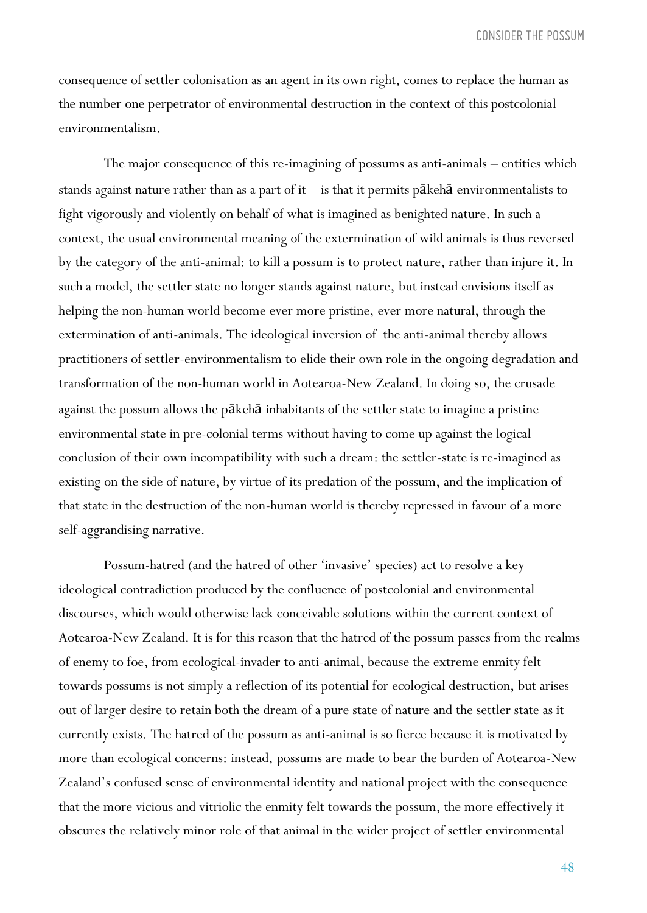consequence of settler colonisation as an agent in its own right, comes to replace the human as the number one perpetrator of environmental destruction in the context of this postcolonial environmentalism.

The major consequence of this re-imagining of possums as anti-animals – entities which stands against nature rather than as a part of it – is that it permits pākehā environmentalists to fight vigorously and violently on behalf of what is imagined as benighted nature. In such a context, the usual environmental meaning of the extermination of wild animals is thus reversed by the category of the anti-animal: to kill a possum is to protect nature, rather than injure it. In such a model, the settler state no longer stands against nature, but instead envisions itself as helping the non-human world become ever more pristine, ever more natural, through the extermination of anti-animals. The ideological inversion of the anti-animal thereby allows practitioners of settler-environmentalism to elide their own role in the ongoing degradation and transformation of the non-human world in Aotearoa-New Zealand. In doing so, the crusade against the possum allows the pākehā inhabitants of the settler state to imagine a pristine environmental state in pre-colonial terms without having to come up against the logical conclusion of their own incompatibility with such a dream: the settler-state is re-imagined as existing on the side of nature, by virtue of its predation of the possum, and the implication of that state in the destruction of the non-human world is thereby repressed in favour of a more self-aggrandising narrative.

Possum-hatred (and the hatred of other 'invasive' species) act to resolve a key ideological contradiction produced by the confluence of postcolonial and environmental discourses, which would otherwise lack conceivable solutions within the current context of Aotearoa-New Zealand. It is for this reason that the hatred of the possum passes from the realms of enemy to foe, from ecological-invader to anti-animal, because the extreme enmity felt towards possums is not simply a reflection of its potential for ecological destruction, but arises out of larger desire to retain both the dream of a pure state of nature and the settler state as it currently exists. The hatred of the possum as anti-animal is so fierce because it is motivated by more than ecological concerns: instead, possums are made to bear the burden of Aotearoa-New Zealand's confused sense of environmental identity and national project with the consequence that the more vicious and vitriolic the enmity felt towards the possum, the more effectively it obscures the relatively minor role of that animal in the wider project of settler environmental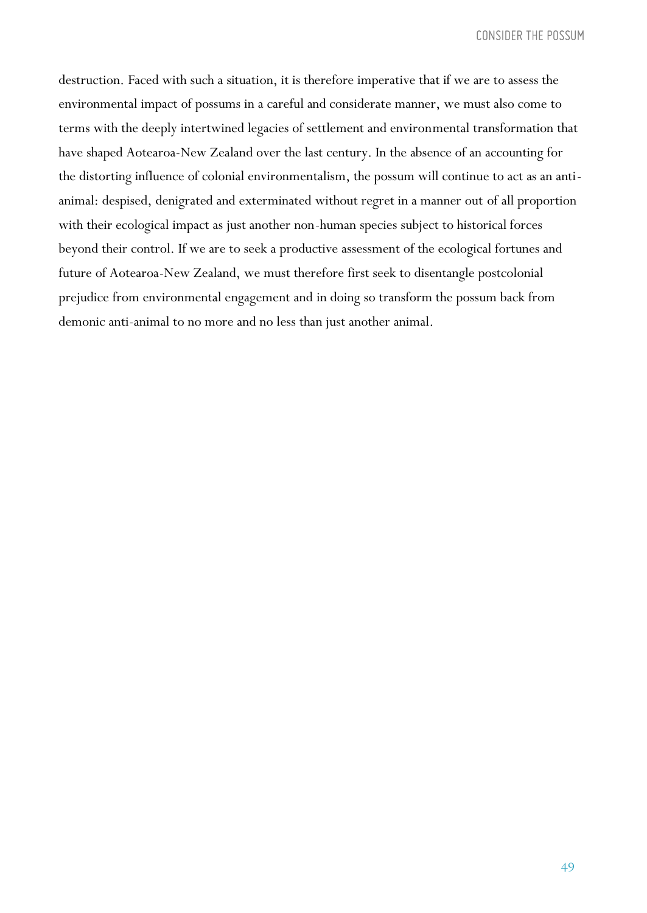destruction. Faced with such a situation, it is therefore imperative that if we are to assess the environmental impact of possums in a careful and considerate manner, we must also come to terms with the deeply intertwined legacies of settlement and environmental transformation that have shaped Aotearoa-New Zealand over the last century. In the absence of an accounting for the distorting influence of colonial environmentalism, the possum will continue to act as an antianimal: despised, denigrated and exterminated without regret in a manner out of all proportion with their ecological impact as just another non-human species subject to historical forces beyond their control. If we are to seek a productive assessment of the ecological fortunes and future of Aotearoa-New Zealand, we must therefore first seek to disentangle postcolonial prejudice from environmental engagement and in doing so transform the possum back from demonic anti-animal to no more and no less than just another animal.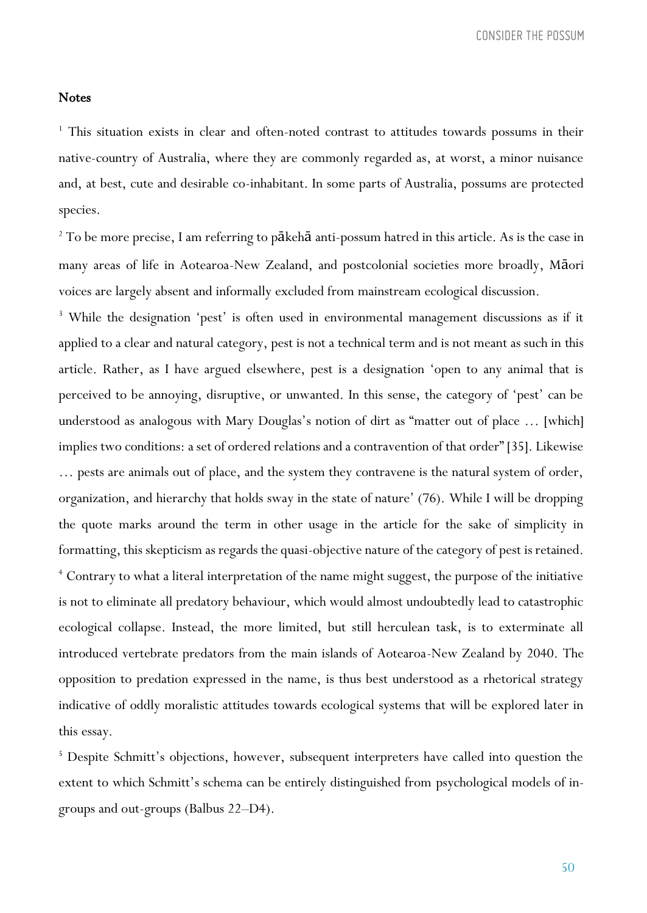#### **Notes**

<sup>1</sup> This situation exists in clear and often-noted contrast to attitudes towards possums in their native-country of Australia, where they are commonly regarded as, at worst, a minor nuisance and, at best, cute and desirable co-inhabitant. In some parts of Australia, possums are protected species.

<sup>2</sup> To be more precise, I am referring to pākehā anti-possum hatred in this article. As is the case in many areas of life in Aotearoa-New Zealand, and postcolonial societies more broadly, Māori voices are largely absent and informally excluded from mainstream ecological discussion.

<sup>3</sup> While the designation 'pest' is often used in environmental management discussions as if it applied to a clear and natural category, pest is not a technical term and is not meant as such in this article. Rather, as I have argued elsewhere, pest is a designation 'open to any animal that is perceived to be annoying, disruptive, or unwanted. In this sense, the category of 'pest' can be understood as analogous with Mary Douglas's notion of dirt as "matter out of place … [which] implies two conditions: a set of ordered relations and a contravention of that order" [35]. Likewise … pests are animals out of place, and the system they contravene is the natural system of order, organization, and hierarchy that holds sway in the state of nature' (76). While I will be dropping the quote marks around the term in other usage in the article for the sake of simplicity in formatting, this skepticism as regards the quasi-objective nature of the category of pest is retained. <sup>4</sup> Contrary to what a literal interpretation of the name might suggest, the purpose of the initiative is not to eliminate all predatory behaviour, which would almost undoubtedly lead to catastrophic ecological collapse. Instead, the more limited, but still herculean task, is to exterminate all introduced vertebrate predators from the main islands of Aotearoa-New Zealand by 2040. The opposition to predation expressed in the name, is thus best understood as a rhetorical strategy indicative of oddly moralistic attitudes towards ecological systems that will be explored later in this essay.

<sup>5</sup> Despite Schmitt's objections, however, subsequent interpreters have called into question the extent to which Schmitt's schema can be entirely distinguished from psychological models of ingroups and out-groups (Balbus 22–D4).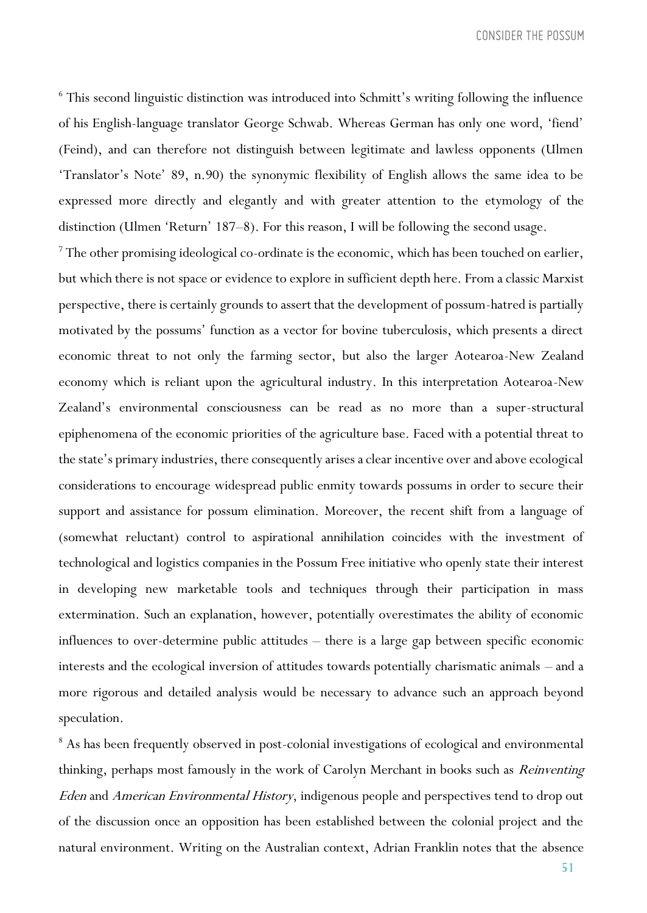<sup>6</sup> This second linguistic distinction was introduced into Schmitt's writing following the influence of his English-language translator George Schwab. Whereas German has only one word, 'fiend' (Feind), and can therefore not distinguish between legitimate and lawless opponents (Ulmen 'Translator's Note' 89, n.90) the synonymic flexibility of English allows the same idea to be expressed more directly and elegantly and with greater attention to the etymology of the distinction (Ulmen 'Return' 187–8). For this reason, I will be following the second usage.

 $^7$  The other promising ideological co-ordinate is the economic, which has been touched on earlier, but which there is not space or evidence to explore in sufficient depth here. From a classic Marxist perspective, there is certainly grounds to assert that the development of possum-hatred is partially motivated by the possums' function as a vector for bovine tuberculosis, which presents a direct economic threat to not only the farming sector, but also the larger Aotearoa-New Zealand economy which is reliant upon the agricultural industry. In this interpretation Aotearoa-New Zealand's environmental consciousness can be read as no more than a super-structural epiphenomena of the economic priorities of the agriculture base. Faced with a potential threat to the state's primary industries, there consequently arises a clear incentive over and above ecological considerations to encourage widespread public enmity towards possums in order to secure their support and assistance for possum elimination. Moreover, the recent shift from a language of (somewhat reluctant) control to aspirational annihilation coincides with the investment of technological and logistics companies in the Possum Free initiative who openly state their interest in developing new marketable tools and techniques through their participation in mass extermination. Such an explanation, however, potentially overestimates the ability of economic influences to over-determine public attitudes – there is a large gap between specific economic interests and the ecological inversion of attitudes towards potentially charismatic animals – and a more rigorous and detailed analysis would be necessary to advance such an approach beyond speculation.

<sup>8</sup> As has been frequently observed in post-colonial investigations of ecological and environmental thinking, perhaps most famously in the work of Carolyn Merchant in books such as Reinventing Eden and American Environmental History, indigenous people and perspectives tend to drop out of the discussion once an opposition has been established between the colonial project and the natural environment. Writing on the Australian context, Adrian Franklin notes that the absence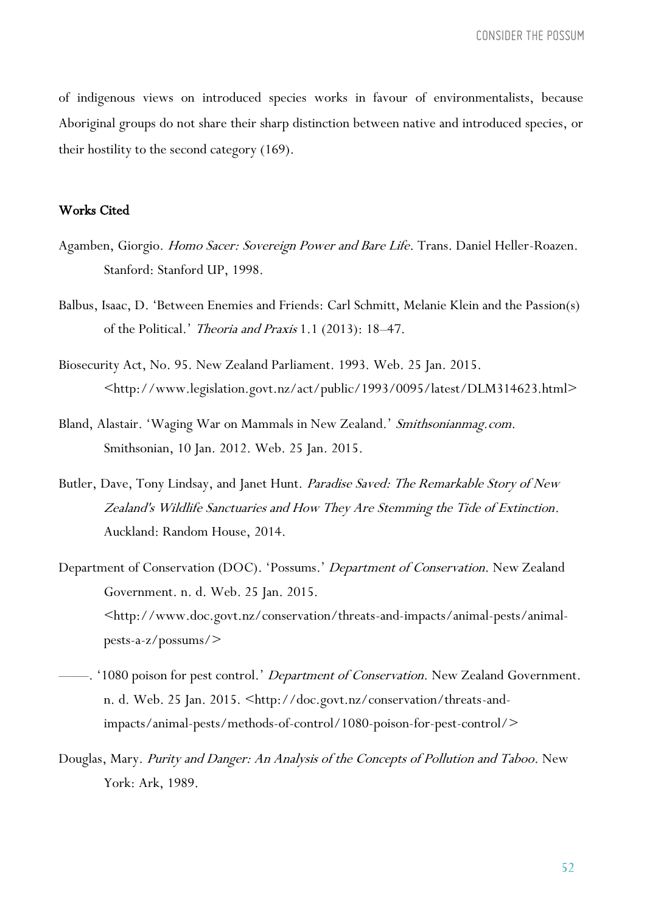of indigenous views on introduced species works in favour of environmentalists, because Aboriginal groups do not share their sharp distinction between native and introduced species, or their hostility to the second category (169).

## Works Cited

- Agamben, Giorgio. Homo Sacer: Sovereign Power and Bare Life. Trans. Daniel Heller-Roazen. Stanford: Stanford UP, 1998.
- Balbus, Isaac, D. 'Between Enemies and Friends: Carl Schmitt, Melanie Klein and the Passion(s) of the Political.' Theoria and Praxis 1.1 (2013): 18–47.
- Biosecurity Act, No. 95. New Zealand Parliament. 1993. Web. 25 Jan. 2015. <http://www.legislation.govt.nz/act/public/1993/0095/latest/DLM314623.html>
- Bland, Alastair. 'Waging War on Mammals in New Zealand.' Smithsonianmag.com. Smithsonian, 10 Jan. 2012. Web. 25 Jan. 2015.
- Butler, Dave, Tony Lindsay, and Janet Hunt. Paradise Saved: The Remarkable Story of New Zealand's Wildlife Sanctuaries and How They Are Stemming the Tide of Extinction. Auckland: Random House, 2014.
- Department of Conservation (DOC). 'Possums.' Department of Conservation. New Zealand Government. n. d. Web. 25 Jan. 2015. <http://www.doc.govt.nz/conservation/threats-and-impacts/animal-pests/animalpests-a-z/possums/>
- —. '1080 poison for pest control.' *Department of Conservation*. New Zealand Government. n. d. Web. 25 Jan. 2015. <http://doc.govt.nz/conservation/threats-andimpacts/animal-pests/methods-of-control/1080-poison-for-pest-control/>
- Douglas, Mary. Purity and Danger: An Analysis of the Concepts of Pollution and Taboo. New York: Ark, 1989.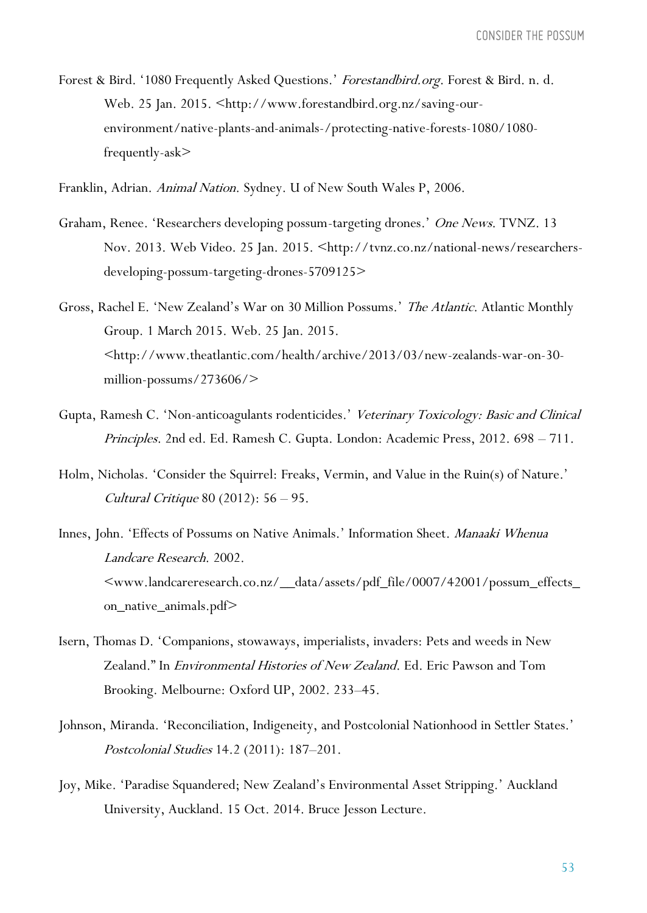- Forest & Bird. '1080 Frequently Asked Questions.' Forestandbird.org. Forest & Bird. n. d. Web. 25 Jan. 2015. <http://www.forestandbird.org.nz/saving-ourenvironment/native-plants-and-animals-/protecting-native-forests-1080/1080 frequently-ask>
- Franklin, Adrian. Animal Nation. Sydney. U of New South Wales P, 2006.
- Graham, Renee. 'Researchers developing possum-targeting drones.' One News. TVNZ. 13 Nov. 2013. Web Video. 25 Jan. 2015. <http://tvnz.co.nz/national-news/researchersdeveloping-possum-targeting-drones-5709125>
- Gross, Rachel E. 'New Zealand's War on 30 Million Possums.' The Atlantic. Atlantic Monthly Group. 1 March 2015. Web. 25 Jan. 2015. <http://www.theatlantic.com/health/archive/2013/03/new-zealands-war-on-30 million-possums/273606/>
- Gupta, Ramesh C. 'Non-anticoagulants rodenticides.' Veterinary Toxicology: Basic and Clinical Principles. 2nd ed. Ed. Ramesh C. Gupta. London: Academic Press, 2012. 698 – 711.
- Holm, Nicholas. 'Consider the Squirrel: Freaks, Vermin, and Value in the Ruin(s) of Nature.' Cultural Critique 80 (2012): 56 – 95.
- Innes, John. 'Effects of Possums on Native Animals.' Information Sheet. Manaaki Whenua Landcare Research. 2002.  $\leq$ www.landcareresearch.co.nz/\_data/assets/pdf\_file/0007/42001/possum\_effects\_ on\_native\_animals.pdf>
- Isern, Thomas D. 'Companions, stowaways, imperialists, invaders: Pets and weeds in New Zealand." In Environmental Histories of New Zealand. Ed. Eric Pawson and Tom Brooking. Melbourne: Oxford UP, 2002. 233–45.
- Johnson, Miranda. 'Reconciliation, Indigeneity, and Postcolonial Nationhood in Settler States.' Postcolonial Studies 14.2 (2011): 187–201.
- Joy, Mike. 'Paradise Squandered; New Zealand's Environmental Asset Stripping.' Auckland University, Auckland. 15 Oct. 2014. Bruce Jesson Lecture.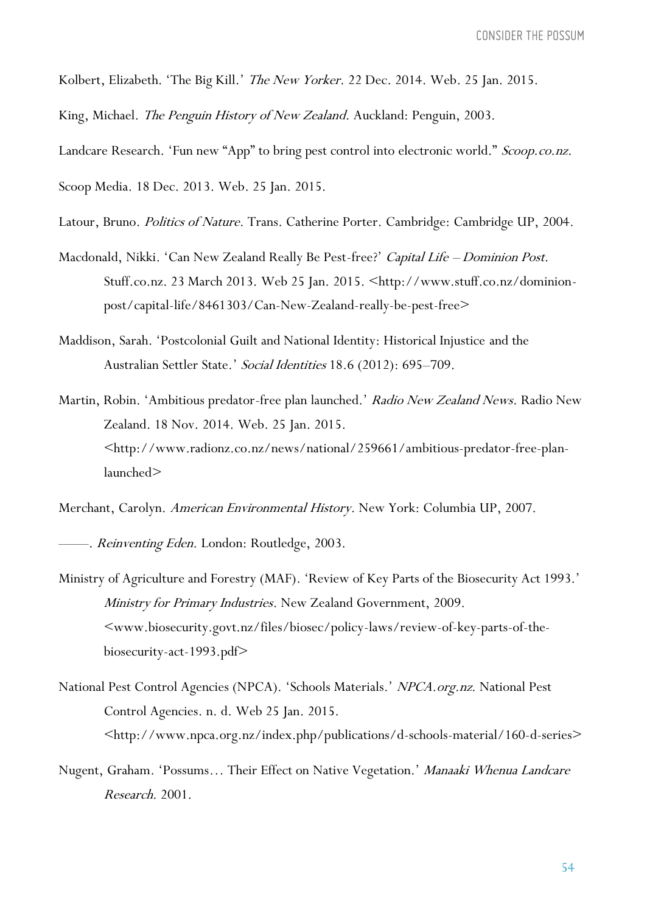Kolbert, Elizabeth. 'The Big Kill.' *The New Yorker*. 22 Dec. 2014. Web. 25 Jan. 2015.

King, Michael. The Penguin History of New Zealand. Auckland: Penguin, 2003.

Landcare Research. 'Fun new "App" to bring pest control into electronic world." Scoop.co.nz.

Scoop Media. 18 Dec. 2013. Web. 25 Jan. 2015.

- Latour, Bruno. Politics of Nature. Trans. Catherine Porter. Cambridge: Cambridge UP, 2004.
- Macdonald, Nikki. 'Can New Zealand Really Be Pest-free?' Capital Life Dominion Post. Stuff.co.nz. 23 March 2013. Web 25 Jan. 2015. <http://www.stuff.co.nz/dominionpost/capital-life/8461303/Can-New-Zealand-really-be-pest-free>
- Maddison, Sarah. 'Postcolonial Guilt and National Identity: Historical Injustice and the Australian Settler State.' Social Identities 18.6 (2012): 695–709.
- Martin, Robin. 'Ambitious predator-free plan launched.' Radio New Zealand News. Radio New Zealand. 18 Nov. 2014. Web. 25 Jan. 2015. <http://www.radionz.co.nz/news/national/259661/ambitious-predator-free-planlaunched>

Merchant, Carolyn. American Environmental History. New York: Columbia UP, 2007.

- Reinventing Eden. London: Routledge, 2003.
- Ministry of Agriculture and Forestry (MAF). 'Review of Key Parts of the Biosecurity Act 1993.' Ministry for Primary Industries. New Zealand Government, 2009. <www.biosecurity.govt.nz/files/biosec/policy-laws/review-of-key-parts-of-thebiosecurity-act-1993.pdf>
- National Pest Control Agencies (NPCA). 'Schools Materials.' NPCA.org.nz. National Pest Control Agencies. n. d. Web 25 Jan. 2015. <http://www.npca.org.nz/index.php/publications/d-schools-material/160-d-series>
- Nugent, Graham. 'Possums... Their Effect on Native Vegetation.' Manaaki Whenua Landcare Research. 2001.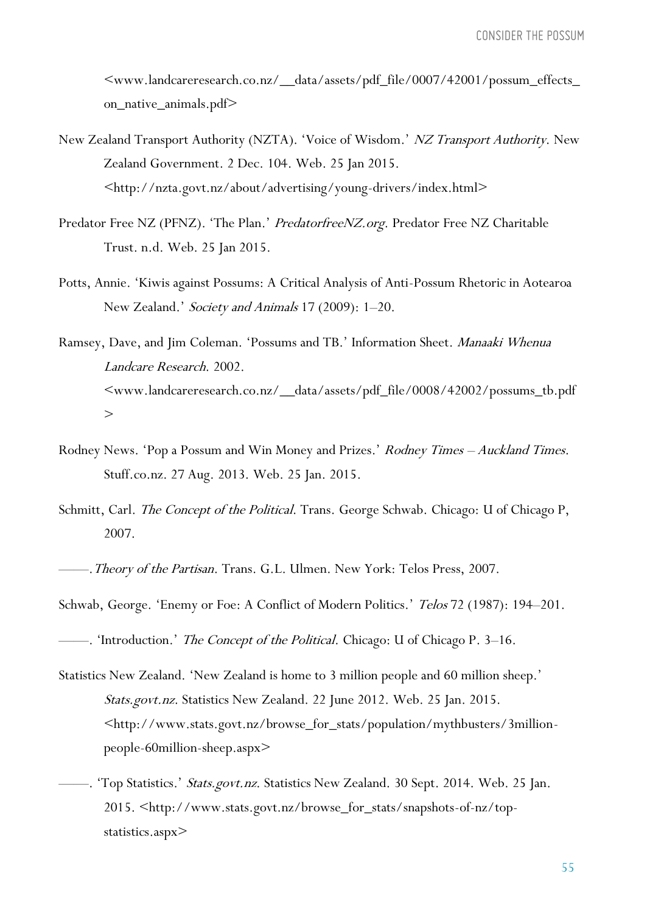$<\!\!\mathrm{www.landcareresearch.co.nz/\_data/ assets/pdf\_file/0007/42001/possum\_effects\_}$ on\_native\_animals.pdf>

- New Zealand Transport Authority (NZTA). 'Voice of Wisdom.' NZ Transport Authority. New Zealand Government. 2 Dec. 104. Web. 25 Jan 2015. <http://nzta.govt.nz/about/advertising/young-drivers/index.html>
- Predator Free NZ (PFNZ). 'The Plan.' PredatorfreeNZ.org. Predator Free NZ Charitable Trust. n.d. Web. 25 Jan 2015.
- Potts, Annie. 'Kiwis against Possums: A Critical Analysis of Anti-Possum Rhetoric in Aotearoa New Zealand.' Society and Animals 17 (2009): 1-20.
- Ramsey, Dave, and Jim Coleman. 'Possums and TB.' Information Sheet. Manaaki Whenua Landcare Research. 2002. <www.landcareresearch.co.nz/\_\_data/assets/pdf\_file/0008/42002/possums\_tb.pdf  $>$
- Rodney News. 'Pop a Possum and Win Money and Prizes.' Rodney Times Auckland Times. Stuff.co.nz. 27 Aug. 2013. Web. 25 Jan. 2015.
- Schmitt, Carl. The Concept of the Political. Trans. George Schwab. Chicago: U of Chicago P, 2007.

———. Theory of the Partisan. Trans. G.L. Ulmen. New York: Telos Press, 2007.

- Schwab, George. 'Enemy or Foe: A Conflict of Modern Politics.' Telos 72 (1987): 194-201.
- ——. 'Introduction.' *The Concept of the Political*. Chicago: U of Chicago P. 3–16.
- Statistics New Zealand. 'New Zealand is home to 3 million people and 60 million sheep.' Stats.govt.nz. Statistics New Zealand. 22 June 2012. Web. 25 Jan. 2015. <http://www.stats.govt.nz/browse\_for\_stats/population/mythbusters/3millionpeople-60million-sheep.aspx>
- Top Statistics.' Stats.govt.nz. Statistics New Zealand. 30 Sept. 2014. Web. 25 Jan. 2015. <http://www.stats.govt.nz/browse\_for\_stats/snapshots-of-nz/topstatistics.aspx>